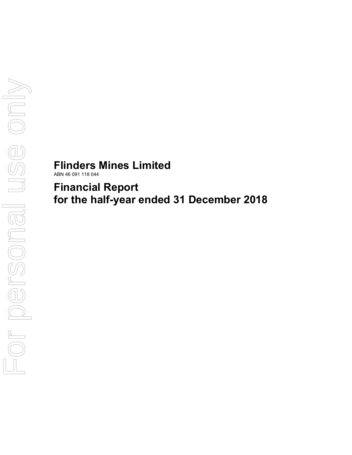# **Flinders Mines Limited**

ABN 46 091 118 044

**Financial Report for the half-year ended 31 December 2018**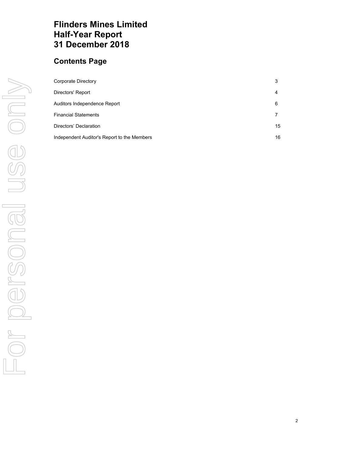# **Flinders Mines Limited Half-Year Report 31 December 2018**

# **Contents Page**

| Corporate Directory                         | 3  |
|---------------------------------------------|----|
| Directors' Report                           | 4  |
| Auditors Independence Report                | 6  |
| <b>Financial Statements</b>                 |    |
| Directors' Declaration                      | 15 |
| Independent Auditor's Report to the Members | 16 |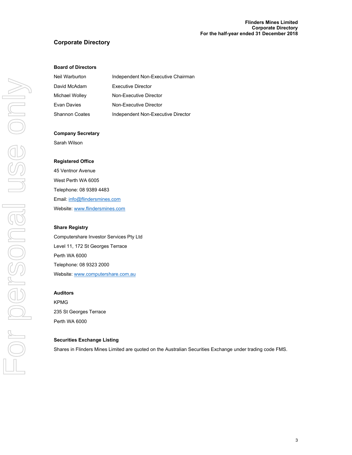# **Corporate Directory**

### **Board of Directors**

| Neil Warburton | Independent Non-Executive Chairman |
|----------------|------------------------------------|
| David McAdam   | <b>Executive Director</b>          |
| Michael Wolley | Non-Executive Director             |
| Evan Davies    | Non-Executive Director             |
| Shannon Coates | Independent Non-Executive Director |

#### **Company Secretary**

Sarah Wilson

#### **Registered Office**

45 Ventnor Avenue West Perth WA 6005 Telephone: 08 9389 4483 Email: info@flindersmines.com Website: www.flindersmines.com

#### **Share Registry**

Computershare Investor Services Pty Ltd Level 11, 172 St Georges Terrace Perth WA 6000 Telephone: 08 9323 2000 Website: www.computershare.com.au

#### **Auditors**

KPMG 235 St Georges Terrace Perth WA 6000

#### **Securities Exchange Listing**

Shares in Flinders Mines Limited are quoted on the Australian Securities Exchange under trading code FMS.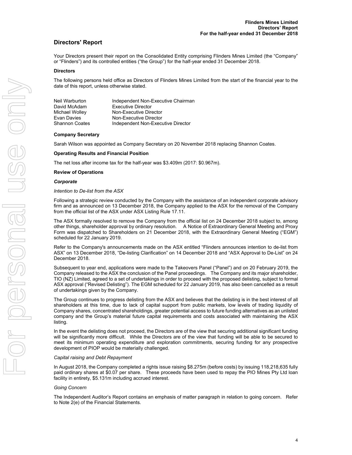# **Directors' Report**

Your Directors present their report on the Consolidated Entity comprising Flinders Mines Limited (the "Company" or "Flinders") and its controlled entities ("the Group") for the half-year ended 31 December 2018.

#### **Directors**

The following persons held office as Directors of Flinders Mines Limited from the start of the financial year to the date of this report, unless otherwise stated.

| Neil Warburton        | Independent Non-Executive Chairman |
|-----------------------|------------------------------------|
| David McAdam          | <b>Executive Director</b>          |
| Michael Wolley        | Non-Executive Director             |
| Evan Davies           | Non-Executive Director             |
| <b>Shannon Coates</b> | Independent Non-Executive Director |

#### **Company Secretary**

Sarah Wilson was appointed as Company Secretary on 20 November 2018 replacing Shannon Coates.

#### **Operating Results and Financial Position**

The net loss after income tax for the half-year was \$3.409m (2017: \$0.967m).

#### **Review of Operations**

#### *Corporate*

#### *Intention to De-list from the ASX*

Following a strategic review conducted by the Company with the assistance of an independent corporate advisory firm and as announced on 13 December 2018, the Company applied to the ASX for the removal of the Company from the official list of the ASX under ASX Listing Rule 17.11.

The ASX formally resolved to remove the Company from the official list on 24 December 2018 subject to, among other things, shareholder approval by ordinary resolution. A Notice of Extraordinary General Meeting and Proxy Form was dispatched to Shareholders on 21 December 2018, with the Extraordinary General Meeting ("EGM") scheduled for 22 January 2019.

Refer to the Company's announcements made on the ASX entitled "Flinders announces intention to de-list from ASX" on 13 December 2018, "De-listing Clarification" on 14 December 2018 and "ASX Approval to De-List" on 24 December 2018.

Subsequent to year end, applications were made to the Takeovers Panel ("Panel") and on 20 February 2019, the Company released to the ASX the conclusion of the Panel proceedings. The Company and its major shareholder, TIO (NZ) Limited, agreed to a set of undertakings in order to proceed with the proposed delisting, subject to formal ASX approval ("Revised Delisting"). The EGM scheduled for 22 January 2019, has also been cancelled as a result of undertakings given by the Company.

The Group continues to progress delisting from the ASX and believes that the delisting is in the best interest of all shareholders at this time, due to lack of capital support from public markets, low levels of trading liquidity of Company shares, concentrated shareholdings, greater potential access to future funding alternatives as an unlisted company and the Group's material future capital requirements and costs associated with maintaining the ASX listing.

In the event the delisting does not proceed, the Directors are of the view that securing additional significant funding will be significantly more difficult. While the Directors are of the view that funding will be able to be secured to meet its minimum operating expenditure and exploration commitments, securing funding for any prospective development of PIOP would be materially challenged.

#### *Capital raising and Debt Repayment*

In August 2018, the Company completed a rights issue raising \$8.275m (before costs) by issuing 118,218,635 fully paid ordinary shares at \$0.07 per share. These proceeds have been used to repay the PIO Mines Pty Ltd loan facility in entirety, \$5.131m including accrued interest.

#### *Going Concern*

The Independent Auditor's Report contains an emphasis of matter paragraph in relation to going concern. Refer to Note 2(e) of the Financial Statements.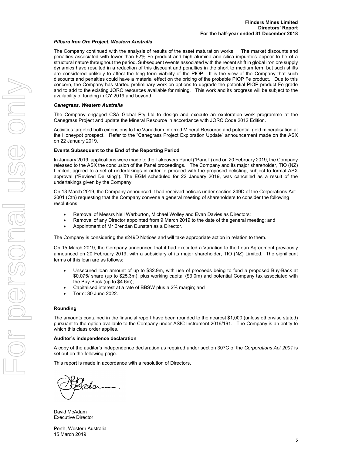#### *Pilbara Iron Ore Project, Western Australia*

The Company continued with the analysis of results of the asset maturation works. The market discounts and penalties associated with lower than 62% Fe product and high alumina and silica impurities appear to be of a structural nature throughout the period. Subsequent events associated with the recent shift in global iron ore supply dynamics have resulted in a reduction of this discount and penalties in the short to medium term but such shifts are considered unlikely to affect the long term viability of the PIOP. It is the view of the Company that such discounts and penalties could have a material effect on the pricing of the probable PIOP Fe product. Due to this concern, the Company has started preliminary work on options to upgrade the potential PIOP product Fe grade and to add to the existing JORC resources available for mining. This work and its progress will be subject to the availability of funding in CY 2019 and beyond.

#### *Canegrass, Western Australia*

The Company engaged CSA Global Pty Ltd to design and execute an exploration work programme at the Canegrass Project and update the Mineral Resource in accordance with JORC Code 2012 Edition.

Activities targeted both extensions to the Vanadium Inferred Mineral Resource and potential gold mineralisation at the Honeypot prospect. Refer to the "Canegrass Project Exploration Update" announcement made on the ASX on 22 January 2019.

#### **Events Subsequent to the End of the Reporting Period**

In January 2019, applications were made to the Takeovers Panel ("Panel") and on 20 February 2019, the Company released to the ASX the conclusion of the Panel proceedings. The Company and its major shareholder, TIO (NZ) Limited, agreed to a set of undertakings in order to proceed with the proposed delisting, subject to formal ASX approval ("Revised Delisting"). The EGM scheduled for 22 January 2019, was cancelled as a result of the undertakings given by the Company.

On 13 March 2019, the Company announced it had received notices under section 249D of the Corporations Act 2001 (Cth) requesting that the Company convene a general meeting of shareholders to consider the following resolutions:

- Removal of Messrs Neil Warburton, Michael Wolley and Evan Davies as Directors;
- Removal of any Director appointed from 9 March 2019 to the date of the general meeting; and
- Appointment of Mr Brendan Dunstan as a Director.

The Company is considering the s249D Notices and will take appropriate action in relation to them.

On 15 March 2019, the Company announced that it had executed a Variation to the Loan Agreement previously announced on 20 February 2019, with a subsidiary of its major shareholder, TIO (NZ) Limited. The significant terms of this loan are as follows:

- Unsecured loan amount of up to \$32.9m, with use of proceeds being to fund a proposed Buy-Back at \$0.075/ share (up to \$25.3m), plus working capital (\$3.0m) and potential Company tax associated with the Buy-Back (up to \$4.6m);
- Capitalised interest at a rate of BBSW plus a 2% margin; and
- Term: 30 June 2022.

#### **Rounding**

The amounts contained in the financial report have been rounded to the nearest \$1,000 (unless otherwise stated) pursuant to the option available to the Company under ASIC Instrument 2016/191. The Company is an entity to which this class order applies.

#### **Auditor's independence declaration**

A copy of the auditor's independence declaration as required under section 307C of the *Corporations Act 2001* is set out on the following page.

This report is made in accordance with a resolution of Directors.

Johan

David McAdam Executive Director

Perth, Western Australia 15 March 2019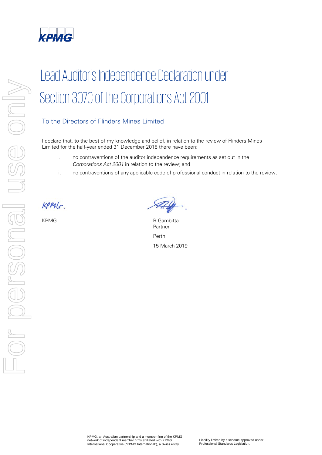

# Lead Auditor's Independence Declaration under Section 307C of the Corporations Act 2001

# To the Directors of Flinders Mines Limited

I declare that, to the best of my knowledge and belief, in relation to the review of Flinders Mines Limited for the half-year ended 31 December 2018 there have been:

- i. no contraventions of the auditor independence requirements as set out in the Corporations Act 2001 in relation to the review; and
- ii. no contraventions of any applicable code of professional conduct in relation to the review.

 $KPM(r)$ 

KPMG R Gambitta Partner Perth 15 March 2019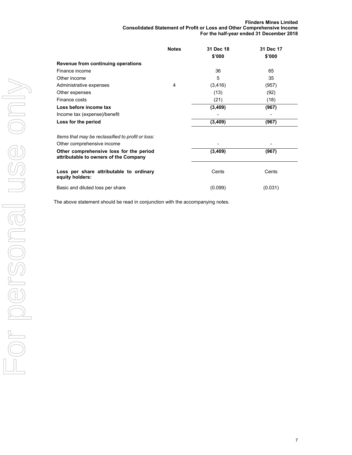#### **Flinders Mines Limited Consolidated Statement of Profit or Loss and Other Comprehensive Income For the half-year ended 31 December 2018**

|                                                                                  | <b>Notes</b> | 31 Dec 18<br>\$'000 | 31 Dec 17<br>\$'000 |
|----------------------------------------------------------------------------------|--------------|---------------------|---------------------|
| Revenue from continuing operations                                               |              |                     |                     |
| Finance income                                                                   |              | 36                  | 65                  |
| Other income                                                                     |              | 5                   | 35                  |
| Administrative expenses                                                          | 4            | (3, 416)            | (957)               |
| Other expenses                                                                   |              | (13)                | (92)                |
| Finance costs                                                                    |              | (21)                | (18)                |
| Loss before income tax                                                           |              | (3,409)             | (967)               |
| Income tax (expense)/benefit                                                     |              |                     |                     |
| Loss for the period                                                              |              | (3, 409)            | (967)               |
| Items that may be reclassified to profit or loss:                                |              |                     |                     |
| Other comprehensive income                                                       |              |                     |                     |
| Other comprehensive loss for the period<br>attributable to owners of the Company |              | (3,409)             | (967)               |
| Loss per share attributable to ordinary<br>equity holders:                       |              | Cents               | Cents               |
| Basic and diluted loss per share                                                 |              | (0.099)             | (0.031)             |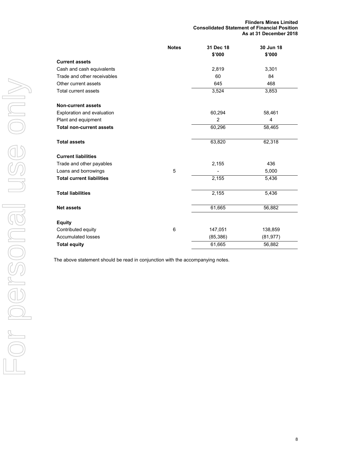|                                  | <b>Notes</b> | 31 Dec 18      | 30 Jun 18 |
|----------------------------------|--------------|----------------|-----------|
|                                  |              | \$'000         | \$'000    |
| <b>Current assets</b>            |              |                |           |
| Cash and cash equivalents        |              | 2,819          | 3,301     |
| Trade and other receivables      |              | 60             | 84        |
| Other current assets             |              | 645            | 468       |
| <b>Total current assets</b>      |              | 3,524          | 3,853     |
| <b>Non-current assets</b>        |              |                |           |
| Exploration and evaluation       |              | 60,294         | 58,461    |
| Plant and equipment              |              | $\overline{c}$ | 4         |
| <b>Total non-current assets</b>  |              | 60,296         | 58,465    |
| <b>Total assets</b>              |              | 63,820         | 62,318    |
| <b>Current liabilities</b>       |              |                |           |
| Trade and other payables         |              | 2,155          | 436       |
| Loans and borrowings             | 5            |                | 5,000     |
| <b>Total current liabilities</b> |              | 2,155          | 5,436     |
| <b>Total liabilities</b>         |              | 2,155          | 5,436     |
| <b>Net assets</b>                |              | 61,665         | 56,882    |
| <b>Equity</b>                    |              |                |           |
| Contributed equity               | 6            | 147,051        | 138,859   |
| <b>Accumulated losses</b>        |              | (85, 386)      | (81, 977) |
| <b>Total equity</b>              |              | 61,665         | 56,882    |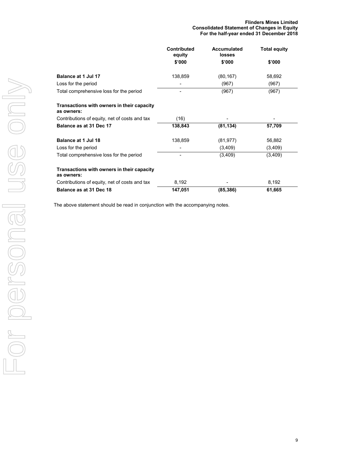|                                                          | <b>Contributed</b><br>equity | <b>Accumulated</b><br>losses | <b>Total equity</b> |
|----------------------------------------------------------|------------------------------|------------------------------|---------------------|
|                                                          | \$'000                       | \$'000                       | \$'000              |
| Balance at 1 Jul 17                                      | 138,859                      | (80, 167)                    | 58,692              |
| Loss for the period                                      |                              | (967)                        | (967)               |
| Total comprehensive loss for the period                  |                              | (967)                        | (967)               |
| Transactions with owners in their capacity<br>as owners: |                              |                              |                     |
| Contributions of equity, net of costs and tax            | (16)                         |                              |                     |
| Balance as at 31 Dec 17                                  | 138,843                      | (81, 134)                    | 57,709              |
| Balance at 1 Jul 18                                      | 138,859                      | (81, 977)                    | 56,882              |
| Loss for the period                                      |                              | (3,409)                      | (3,409)             |
| Total comprehensive loss for the period                  |                              | (3,409)                      | (3,409)             |
| Transactions with owners in their capacity<br>as owners: |                              |                              |                     |
| Contributions of equity, net of costs and tax            | 8,192                        |                              | 8,192               |
| Balance as at 31 Dec 18                                  | 147,051                      | (85, 386)                    | 61,665              |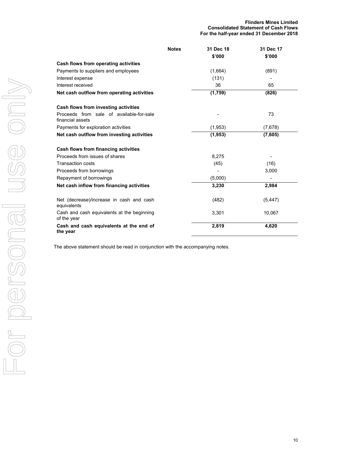|                                                              | <b>Notes</b> | 31 Dec 18 | 31 Dec 17 |
|--------------------------------------------------------------|--------------|-----------|-----------|
|                                                              |              | \$'000    | \$'000    |
| Cash flows from operating activities                         |              |           |           |
| Payments to suppliers and employees                          |              | (1,664)   | (891)     |
| Interest expense                                             |              | (131)     |           |
| Interest received                                            |              | 36        | 65        |
| Net cash outflow from operating activities                   |              | (1,759)   | (826)     |
| Cash flows from investing activities                         |              |           |           |
| Proceeds from sale of available-for-sale<br>financial assets |              |           | 73        |
| Payments for exploration activities                          |              | (1,953)   | (7,678)   |
| Net cash outflow from investing activities                   |              | (1,953)   | (7,605)   |
| Cash flows from financing activities                         |              |           |           |
| Proceeds from issues of shares                               |              | 8,275     |           |
| <b>Transaction costs</b>                                     |              | (45)      | (16)      |
| Proceeds from borrowings                                     |              |           | 3,000     |
| Repayment of borrowings                                      |              | (5,000)   |           |
| Net cash inflow from financing activities                    |              | 3,230     | 2,984     |
| Net (decrease)/increase in cash and cash<br>equivalents      |              | (482)     | (5, 447)  |
| Cash and cash equivalents at the beginning<br>of the year    |              | 3,301     | 10,067    |
| Cash and cash equivalents at the end of<br>the year          |              | 2,819     | 4,620     |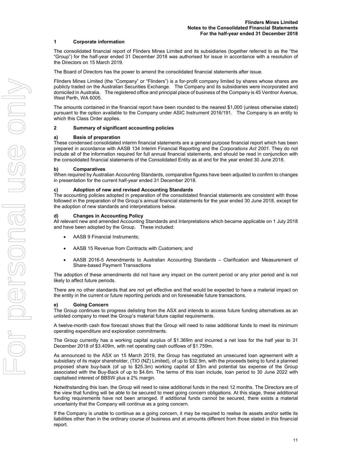#### **1 Corporate information**

The consolidated financial report of Flinders Mines Limited and its subsidiaries (together referred to as the "the "Group") for the half-year ended 31 December 2018 was authorised for issue in accordance with a resolution of the Directors on 15 March 2019.

The Board of Directors has the power to amend the consolidated financial statements after issue.

Flinders Mines Limited (the "Company" or "Flinders") is a for-profit company limited by shares whose shares are publicly traded on the Australian Securities Exchange. The Company and its subsidiaries were incorporated and domiciled in Australia. The registered office and principal place of business of the Company is 45 Ventnor Avenue, West Perth, WA 6005.

The amounts contained in the financial report have been rounded to the nearest \$1,000 (unless otherwise stated) pursuant to the option available to the Company under ASIC Instrument 2016/191. The Company is an entity to which this Class Order applies.

#### **2 Summary of significant accounting policies**

#### **a) Basis of preparation**

These condensed consolidated interim financial statements are a general purpose financial report which has been prepared in accordance with AASB 134 Interim Financial Reporting and the *Corporations Act 2001*. They do not include all of the information required for full annual financial statements, and should be read in conjunction with the consolidated financial statements of the Consolidated Entity as at and for the year ended 30 June 2018.

#### **b) Comparatives**

When required by Australian Accounting Standards, comparative figures have been adjusted to confirm to changes in presentation for the current half-year ended 31 December 2018.

#### **c) Adoption of new and revised Accounting Standards**

The accounting policies adopted in preparation of the consolidated financial statements are consistent with those followed in the preparation of the Group's annual financial statements for the year ended 30 June 2018, except for the adoption of new standards and interpretations below.

#### **d) Changes in Accounting Policy**

All relevant new and amended Accounting Standards and Interpretations which became applicable on 1 July 2018 and have been adopted by the Group. These included:

- AASB 9 Financial Instruments;
- AASB 15 Revenue from Contracts with Customers; and
- AASB 2016-5 Amendments to Australian Accounting Standards Clarification and Measurement of Share-based Payment Transactions

The adoption of these amendments did not have any impact on the current period or any prior period and is not likely to affect future periods.

There are no other standards that are not yet effective and that would be expected to have a material impact on the entity in the current or future reporting periods and on foreseeable future transactions.

#### **e) Going Concern**

The Group continues to progress delisting from the ASX and intends to access future funding alternatives as an unlisted company to meet the Group's material future capital requirements.

A twelve-month cash flow forecast shows that the Group will need to raise additional funds to meet its minimum operating expenditure and exploration commitments.

The Group currently has a working capital surplus of \$1.369m and incurred a net loss for the half year to 31 December 2018 of \$3.409m, with net operating cash outflows of \$1.759m.

As announced to the ASX on 15 March 2019, the Group has negotiated an unsecured loan agreement with a subsidiary of its major shareholder, (TIO (NZ) Limited), of up to \$32.9m, with the proceeds being to fund a planned proposed share buy-back (of up to \$25.3m) working capital of \$3m and potential tax expense of the Group associated with the Buy-Back of up to \$4.6m. The terms of this loan include, loan period to 30 June 2022 with capitalised interest of BBSW plus a 2% margin.

Notwithstanding this loan, the Group will need to raise additional funds in the next 12 months. The Directors are of the view that funding will be able to be secured to meet going concern obligations. At this stage, these additional funding requirements have not been arranged. If additional funds cannot be secured, there exists a material uncertainty that the Company will continue as a going concern.

If the Company is unable to continue as a going concern, it may be required to realise its assets and/or settle its liabilities other than in the ordinary course of business and at amounts different from those stated in this financial report.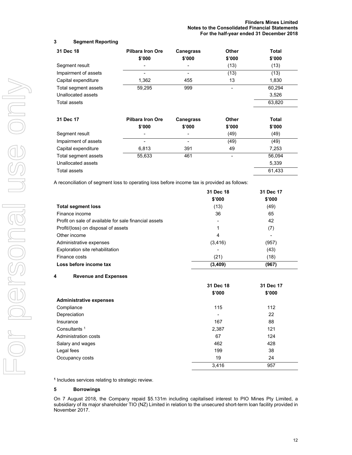# **3 Segment Reporting**

| 31 Dec 18            | <b>Pilbara Iron Ore</b><br>\$'000 | <b>Canegrass</b><br>\$'000 | Other<br>\$'000 | Total<br>\$'000 |
|----------------------|-----------------------------------|----------------------------|-----------------|-----------------|
| Segment result       |                                   |                            | (13)            | (13)            |
| Impairment of assets |                                   |                            | (13)            | (13)            |
| Capital expenditure  | 1,362                             | 455                        | 13              | 1,830           |
| Total segment assets | 59,295                            | 999                        | ۰               | 60,294          |
| Unallocated assets   |                                   |                            |                 | 3,526           |
| Total assets         |                                   |                            |                 | 63,820          |
| 31 Dec 17            | <b>Pilbara Iron Ore</b>           | <b>Canegrass</b>           | Other           | Total           |
|                      | \$'000                            | \$'000                     | \$'000          | \$'000          |
| Segment result       |                                   |                            | (49)            | (49)            |
| Impairment of assets |                                   |                            | (49)            | (49)            |
| Capital expenditure  | 6,813                             | 391                        | 49              | 7,253           |
| Total segment assets | 55,633                            | 461                        | ٠               | 56,094          |
| Unallocated assets   |                                   |                            |                 | 5,339           |
| Total assets         |                                   |                            |                 | 61,433          |

A reconciliation of segment loss to operating loss before income tax is provided as follows:

|                                                       | 31 Dec 18 | 31 Dec 17 |
|-------------------------------------------------------|-----------|-----------|
|                                                       | \$'000    | \$'000    |
| <b>Total segment loss</b>                             | (13)      | (49)      |
| Finance income                                        | 36        | 65        |
| Profit on sale of available for sale financial assets | ٠         | 42        |
| Profit/(loss) on disposal of assets                   | 1         | (7)       |
| Other income                                          | 4         | ٠         |
| Administrative expenses                               | (3, 416)  | (957)     |
| Exploration site rehabilitation                       | -         | (43)      |
| Finance costs                                         | (21)      | (18)      |
| Loss before income tax                                | (3,409)   | (967)     |

## **4 Revenue and Expenses**

|                                | 31 Dec 18 | 31 Dec 17 |
|--------------------------------|-----------|-----------|
|                                | \$'000    | \$'000    |
| <b>Administrative expenses</b> |           |           |
| Compliance                     | 115       | 112       |
| Depreciation                   | ٠         | 22        |
| Insurance                      | 167       | 88        |
| Consultants <sup>1</sup>       | 2,387     | 121       |
| Administration costs           | 67        | 124       |
| Salary and wages               | 462       | 428       |
| Legal fees                     | 199       | 38        |
| Occupancy costs                | 19        | 24        |
|                                | 3,416     | 957       |

**<sup>1</sup>** Includes services relating to strategic review.

#### **5 Borrowings**

On 7 August 2018, the Company repaid \$5.131m including capitalised interest to PIO Mines Pty Limited, a subsidiary of its major shareholder TIO (NZ) Limited in relation to the unsecured short-term loan facility provided in November 2017.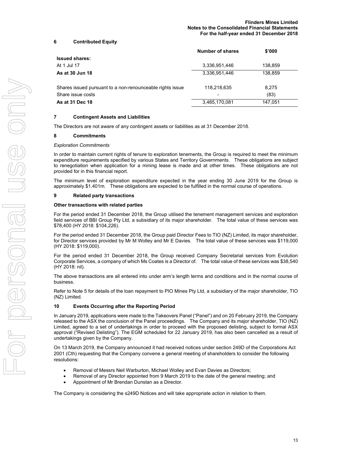### **6 Contributed Equity**

|                                                           | <b>Number of shares</b> | \$'000  |  |
|-----------------------------------------------------------|-------------------------|---------|--|
| <b>Issued shares:</b>                                     |                         |         |  |
| At 1 Jul 17                                               | 3,336,951,446           | 138,859 |  |
| As at 30 Jun 18                                           | 3.336.951.446           | 138,859 |  |
| Shares issued pursuant to a non-renounceable rights issue | 118,218,635             | 8,275   |  |
| Share issue costs                                         |                         | (83)    |  |
| As at 31 Dec 18                                           | 3,485,170,081           | 147.051 |  |

#### **7 Contingent Assets and Liabilities**

The Directors are not aware of any contingent assets or liabilities as at 31 December 2018.

#### **8 Commitments**

#### *Exploration Commitments*

In order to maintain current rights of tenure to exploration tenements, the Group is required to meet the minimum expenditure requirements specified by various States and Territory Governments. These obligations are subject to renegotiation when application for a mining lease is made and at other times. These obligations are not provided for in this financial report.

The minimum level of exploration expenditure expected in the year ending 30 June 2019 for the Group is approximately \$1.401m. These obligations are expected to be fulfilled in the normal course of operations.

#### **9 Related party transactions**

#### **Other transactions with related parties**

For the period ended 31 December 2018, the Group utilised the tenement management services and exploration field services of BBI Group Pty Ltd, a subsidiary of its major shareholder. The total value of these services was \$78,400 (HY 2018: \$104,226).

For the period ended 31 December 2018, the Group paid Director Fees to TIO (NZ) Limited, its major shareholder, for Director services provided by Mr M Wolley and Mr E Davies. The total value of these services was \$119,000 (HY 2018: \$119,000).

For the period ended 31 December 2018, the Group received Company Secretarial services from Evolution Corporate Services, a company of which Ms Coates is a Director of. The total value of these services was \$38,540 (HY 2018: nil).

The above transactions are all entered into under arm's length terms and conditions and in the normal course of business.

Refer to Note 5 for details of the loan repayment to PIO Mines Pty Ltd, a subsidiary of the major shareholder, TIO (NZ) Limited.

#### **10 Events Occurring after the Reporting Period**

In January 2019, applications were made to the Takeovers Panel ("Panel") and on 20 February 2019, the Company released to the ASX the conclusion of the Panel proceedings. The Company and its major shareholder, TIO (NZ) Limited, agreed to a set of undertakings in order to proceed with the proposed delisting, subject to formal ASX approval ("Revised Delisting"). The EGM scheduled for 22 January 2019, has also been cancelled as a result of undertakings given by the Company.

On 13 March 2019, the Company announced it had received notices under section 249D of the Corporations Act 2001 (Cth) requesting that the Company convene a general meeting of shareholders to consider the following resolutions:

- Removal of Messrs Neil Warburton, Michael Wolley and Evan Davies as Directors;
- Removal of any Director appointed from 9 March 2019 to the date of the general meeting; and
- Appointment of Mr Brendan Dunstan as a Director.

The Company is considering the s249D Notices and will take appropriate action in relation to them.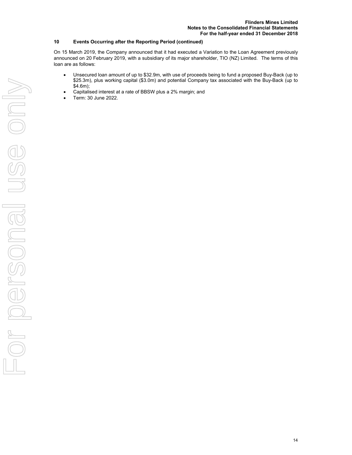### **10 Events Occurring after the Reporting Period (continued)**

On 15 March 2019, the Company announced that it had executed a Variation to the Loan Agreement previously announced on 20 February 2019, with a subsidiary of its major shareholder, TIO (NZ) Limited. The terms of this loan are as follows:

- Unsecured loan amount of up to \$32.9m, with use of proceeds being to fund a proposed Buy-Back (up to \$25.3m), plus working capital (\$3.0m) and potential Company tax associated with the Buy-Back (up to \$4.6m);
- Capitalised interest at a rate of BBSW plus a 2% margin; and
- Term: 30 June 2022.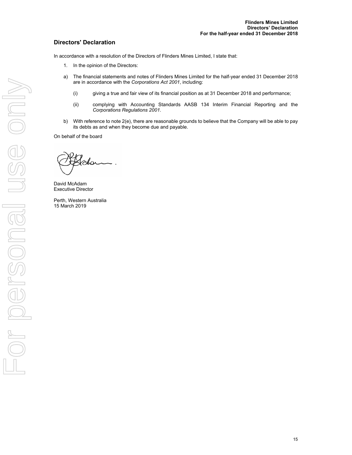# **Directors' Declaration**

In accordance with a resolution of the Directors of Flinders Mines Limited, I state that:

- 1. In the opinion of the Directors:
- a) The financial statements and notes of Flinders Mines Limited for the half-year ended 31 December 2018 are in accordance with the *Corporations Act 2001*, including:
	- (i) giving a true and fair view of its financial position as at 31 December 2018 and performance;
	- (ii) complying with Accounting Standards AASB 134 Interim Financial Reporting and the *Corporations Regulations 2001*.
- b) With reference to note 2(e), there are reasonable grounds to believe that the Company will be able to pay its debts as and when they become due and payable.

On behalf of the board

olor

David McAdam Executive Director

Perth, Western Australia 15 March 2019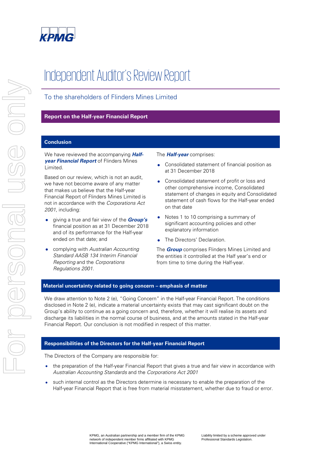

# Independent Auditor's Review Report

# To the shareholders of Flinders Mines Limited

# **Report on the Half-year Financial Report**

# **Conclusion**

We have reviewed the accompanying **Halfyear Financial Report** of Flinders Mines Limited.

Based on our review, which is not an audit, we have not become aware of any matter that makes us believe that the Half-year Financial Report of Flinders Mines Limited is not in accordance with the Corporations Act 2001, including:

- giving a true and fair view of the **Group's** financial position as at 31 December 2018 and of its performance for the Half-year ended on that date; and
- complying with Australian Accounting Standard AASB 134 Interim Financial Reporting and the Corporations Regulations 2001.

The **Half-year** comprises:

- Consolidated statement of financial position as at 31 December 2018
- Consolidated statement of profit or loss and other comprehensive income, Consolidated statement of changes in equity and Consolidated statement of cash flows for the Half-year ended on that date
- Notes 1 to 10 comprising a summary of significant accounting policies and other explanatory information
- The Directors' Declaration.

The **Group** comprises Flinders Mines Limited and the entities it controlled at the Half year's end or from time to time during the Half-year.

# **Material uncertainty related to going concern – emphasis of matter**

We draw attention to Note 2 (e), "Going Concern" in the Half-year Financial Report. The conditions disclosed in Note 2 (e), indicate a material uncertainty exists that may cast significant doubt on the Group's ability to continue as a going concern and, therefore, whether it will realise its assets and discharge its liabilities in the normal course of business, and at the amounts stated in the Half-year Financial Report. Our conclusion is not modified in respect of this matter.

## **Responsibilities of the Directors for the Half-year Financial Report**

The Directors of the Company are responsible for:

- the preparation of the Half-year Financial Report that gives a true and fair view in accordance with Australian Accounting Standards and the Corporations Act 2001
- such internal control as the Directors determine is necessary to enable the preparation of the Half-year Financial Report that is free from material misstatement, whether due to fraud or error.